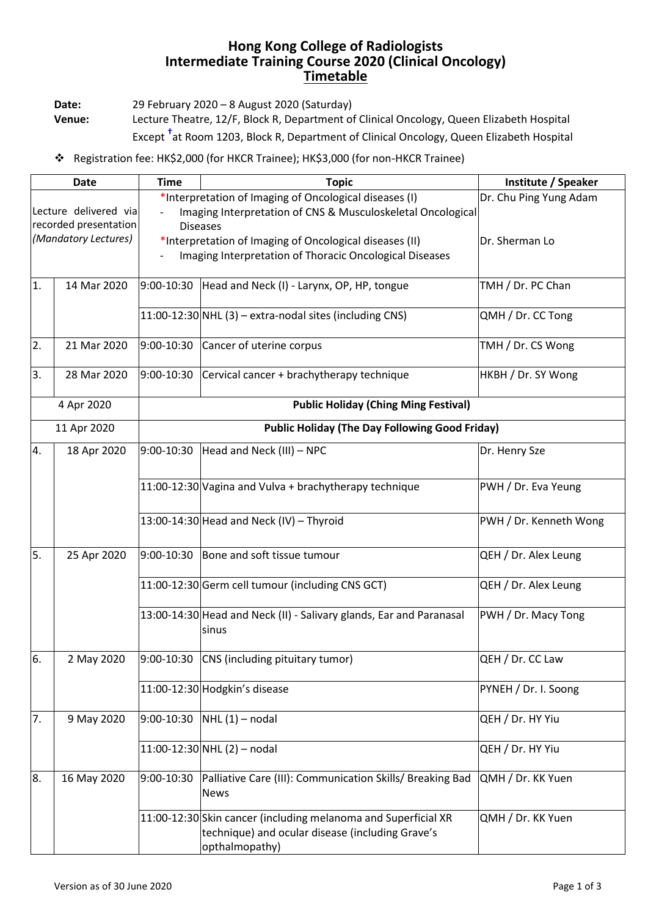## **Hong Kong College of Radiologists Intermediate Training Course 2020 (Clinical Oncology) Timetable**

**Date:** 29 February 2020 – 8 August 2020 (Saturday)

**Venue:** Lecture Theatre, 12/F, Block R, Department of Clinical Oncology, Queen Elizabeth Hospital Except **†** at Room 1203, Block R, Department of Clinical Oncology, Queen Elizabeth Hospital

## ❖ Registration fee: HK\$2,000 (for HKCR Trainee); HK\$3,000 (for non-HKCR Trainee)

| Date                                          |             | <b>Time</b>                                                 | <b>Topic</b>                                                                                                                         | Institute / Speaker    |  |  |  |
|-----------------------------------------------|-------------|-------------------------------------------------------------|--------------------------------------------------------------------------------------------------------------------------------------|------------------------|--|--|--|
|                                               |             |                                                             | *Interpretation of Imaging of Oncological diseases (I)                                                                               | Dr. Chu Ping Yung Adam |  |  |  |
| Lecture delivered via                         |             | Imaging Interpretation of CNS & Musculoskeletal Oncological |                                                                                                                                      |                        |  |  |  |
| recorded presentation<br>(Mandatory Lectures) |             | <b>Diseases</b>                                             |                                                                                                                                      |                        |  |  |  |
|                                               |             |                                                             | *Interpretation of Imaging of Oncological diseases (II)<br>Dr. Sherman Lo<br>Imaging Interpretation of Thoracic Oncological Diseases |                        |  |  |  |
|                                               |             |                                                             |                                                                                                                                      |                        |  |  |  |
| 1.                                            | 14 Mar 2020 |                                                             | $9:00-10:30$ Head and Neck (I) - Larynx, OP, HP, tongue                                                                              | TMH / Dr. PC Chan      |  |  |  |
|                                               |             |                                                             | $11:00-12:30$ NHL (3) – extra-nodal sites (including CNS)                                                                            | QMH / Dr. CC Tong      |  |  |  |
| 2.                                            | 21 Mar 2020 | 9:00-10:30                                                  | Cancer of uterine corpus                                                                                                             | TMH / Dr. CS Wong      |  |  |  |
| 3.                                            | 28 Mar 2020 | 9:00-10:30                                                  | Cervical cancer + brachytherapy technique                                                                                            | HKBH / Dr. SY Wong     |  |  |  |
| 4 Apr 2020                                    |             | <b>Public Holiday (Ching Ming Festival)</b>                 |                                                                                                                                      |                        |  |  |  |
| 11 Apr 2020                                   |             | <b>Public Holiday (The Day Following Good Friday)</b>       |                                                                                                                                      |                        |  |  |  |
| 4.                                            | 18 Apr 2020 | 9:00-10:30                                                  | Head and Neck (III) - NPC                                                                                                            | Dr. Henry Sze          |  |  |  |
|                                               |             |                                                             | 11:00-12:30 Vagina and Vulva + brachytherapy technique                                                                               | PWH / Dr. Eva Yeung    |  |  |  |
|                                               |             |                                                             | $13:00-14:30$ Head and Neck (IV) - Thyroid                                                                                           | PWH / Dr. Kenneth Wong |  |  |  |
| 5.                                            | 25 Apr 2020 | 9:00-10:30                                                  | Bone and soft tissue tumour                                                                                                          | QEH / Dr. Alex Leung   |  |  |  |
|                                               |             |                                                             | 11:00-12:30 Germ cell tumour (including CNS GCT)                                                                                     | QEH / Dr. Alex Leung   |  |  |  |
|                                               |             |                                                             | 13:00-14:30 Head and Neck (II) - Salivary glands, Ear and Paranasal<br>sinus                                                         | PWH / Dr. Macy Tong    |  |  |  |
| 6.                                            | 2 May 2020  |                                                             | 9:00-10:30 CNS (including pituitary tumor)                                                                                           | QEH / Dr. CC Law       |  |  |  |
|                                               |             |                                                             | 11:00-12:30 Hodgkin's disease                                                                                                        | PYNEH / Dr. I. Soong   |  |  |  |
| 7.                                            | 9 May 2020  | 9:00-10:30                                                  | $NHL(1)$ – nodal                                                                                                                     | QEH / Dr. HY Yiu       |  |  |  |
|                                               |             |                                                             | 11:00-12:30 NHL (2) - nodal                                                                                                          | QEH / Dr. HY Yiu       |  |  |  |
| 8.                                            | 16 May 2020 | 9:00-10:30                                                  | Palliative Care (III): Communication Skills/ Breaking Bad<br><b>News</b>                                                             | QMH / Dr. KK Yuen      |  |  |  |
|                                               |             |                                                             | 11:00-12:30 Skin cancer (including melanoma and Superficial XR<br>technique) and ocular disease (including Grave's<br>opthalmopathy) | QMH / Dr. KK Yuen      |  |  |  |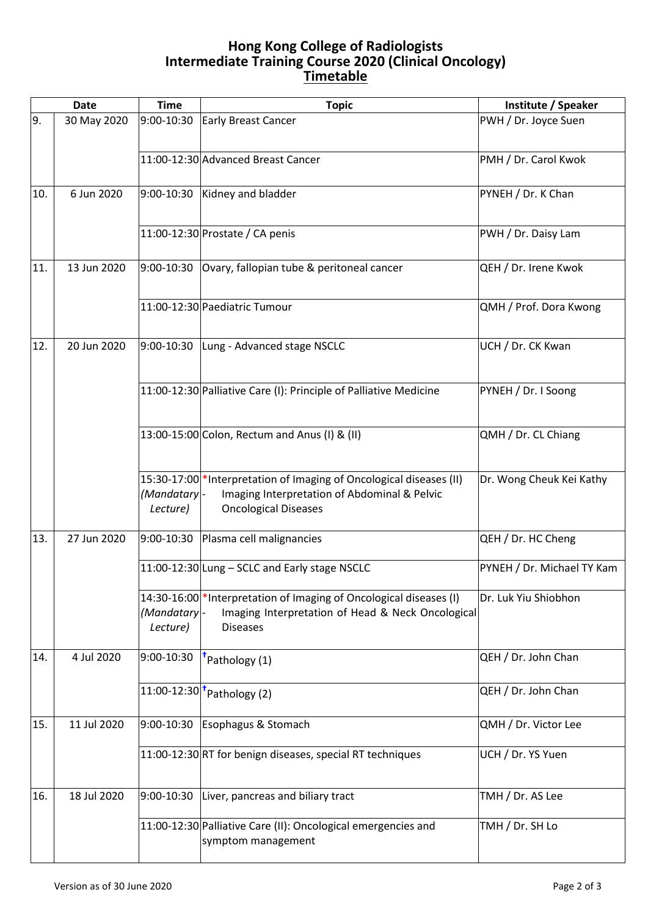## **Hong Kong College of Radiologists Intermediate Training Course 2020 (Clinical Oncology) Timetable**

|     | <b>Date</b> | <b>Time</b>             | <b>Topic</b>                                                                                                                                        | Institute / Speaker        |
|-----|-------------|-------------------------|-----------------------------------------------------------------------------------------------------------------------------------------------------|----------------------------|
| 9.  | 30 May 2020 | 9:00-10:30              | <b>Early Breast Cancer</b>                                                                                                                          | PWH / Dr. Joyce Suen       |
|     |             |                         | 11:00-12:30 Advanced Breast Cancer                                                                                                                  | PMH / Dr. Carol Kwok       |
| 10. | 6 Jun 2020  |                         | $9:00-10:30$ Kidney and bladder                                                                                                                     | PYNEH / Dr. K Chan         |
|     |             |                         | 11:00-12:30 Prostate / CA penis                                                                                                                     | PWH / Dr. Daisy Lam        |
| 11. | 13 Jun 2020 | 9:00-10:30              | Ovary, fallopian tube & peritoneal cancer                                                                                                           | QEH / Dr. Irene Kwok       |
|     |             |                         | 11:00-12:30 Paediatric Tumour                                                                                                                       | QMH / Prof. Dora Kwong     |
| 12. | 20 Jun 2020 |                         | 9:00-10:30 Lung - Advanced stage NSCLC                                                                                                              | UCH / Dr. CK Kwan          |
|     |             |                         | 11:00-12:30 Palliative Care (I): Principle of Palliative Medicine                                                                                   | PYNEH / Dr. I Soong        |
|     |             |                         | 13:00-15:00 Colon, Rectum and Anus (I) & (II)                                                                                                       | QMH / Dr. CL Chiang        |
|     |             | (Mandatary-<br>Lecture) | 15:30-17:00 * Interpretation of Imaging of Oncological diseases (II)<br>Imaging Interpretation of Abdominal & Pelvic<br><b>Oncological Diseases</b> | Dr. Wong Cheuk Kei Kathy   |
| 13. | 27 Jun 2020 | 9:00-10:30              | Plasma cell malignancies                                                                                                                            | QEH / Dr. HC Cheng         |
|     |             |                         | 11:00-12:30 Lung - SCLC and Early stage NSCLC                                                                                                       | PYNEH / Dr. Michael TY Kam |
|     |             | (Mandatary-<br>Lecture) | 14:30-16:00 * Interpretation of Imaging of Oncological diseases (I)<br>Imaging Interpretation of Head & Neck Oncological<br><b>Diseases</b>         | Dr. Luk Yiu Shiobhon       |
| 14. | 4 Jul 2020  | 9:00-10:30              | Pathology (1)                                                                                                                                       | QEH / Dr. John Chan        |
|     |             |                         | $\overline{11:00}$ -12:30 $^{\dagger}$ Pathology (2)                                                                                                | QEH / Dr. John Chan        |
| 15. | 11 Jul 2020 | 9:00-10:30              | Esophagus & Stomach                                                                                                                                 | QMH / Dr. Victor Lee       |
|     |             |                         | 11:00-12:30 RT for benign diseases, special RT techniques                                                                                           | UCH / Dr. YS Yuen          |
| 16. | 18 Jul 2020 | 9:00-10:30              | Liver, pancreas and biliary tract                                                                                                                   | TMH / Dr. AS Lee           |
|     |             |                         | 11:00-12:30 Palliative Care (II): Oncological emergencies and<br>symptom management                                                                 | TMH / Dr. SH Lo            |